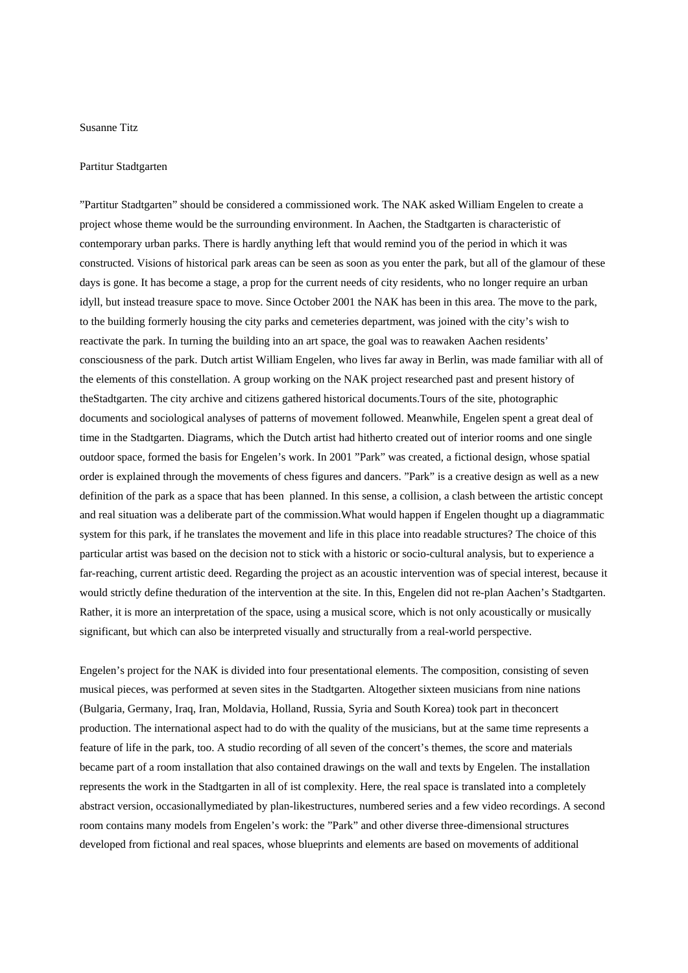## Susanne Titz

## Partitur Stadtgarten

"Partitur Stadtgarten" should be considered a commissioned work. The NAK asked William Engelen to create a project whose theme would be the surrounding environment. In Aachen, the Stadtgarten is characteristic of contemporary urban parks. There is hardly anything left that would remind you of the period in which it was constructed. Visions of historical park areas can be seen as soon as you enter the park, but all of the glamour of these days is gone. It has become a stage, a prop for the current needs of city residents, who no longer require an urban idyll, but instead treasure space to move. Since October 2001 the NAK has been in this area. The move to the park, to the building formerly housing the city parks and cemeteries department, was joined with the city's wish to reactivate the park. In turning the building into an art space, the goal was to reawaken Aachen residents' consciousness of the park. Dutch artist William Engelen, who lives far away in Berlin, was made familiar with all of the elements of this constellation. A group working on the NAK project researched past and present history of theStadtgarten. The city archive and citizens gathered historical documents.Tours of the site, photographic documents and sociological analyses of patterns of movement followed. Meanwhile, Engelen spent a great deal of time in the Stadtgarten. Diagrams, which the Dutch artist had hitherto created out of interior rooms and one single outdoor space, formed the basis for Engelen's work. In 2001 "Park" was created, a fictional design, whose spatial order is explained through the movements of chess figures and dancers. "Park" is a creative design as well as a new definition of the park as a space that has been planned. In this sense, a collision, a clash between the artistic concept and real situation was a deliberate part of the commission.What would happen if Engelen thought up a diagrammatic system for this park, if he translates the movement and life in this place into readable structures? The choice of this particular artist was based on the decision not to stick with a historic or socio-cultural analysis, but to experience a far-reaching, current artistic deed. Regarding the project as an acoustic intervention was of special interest, because it would strictly define theduration of the intervention at the site. In this, Engelen did not re-plan Aachen's Stadtgarten. Rather, it is more an interpretation of the space, using a musical score, which is not only acoustically or musically significant, but which can also be interpreted visually and structurally from a real-world perspective.

Engelen's project for the NAK is divided into four presentational elements. The composition, consisting of seven musical pieces, was performed at seven sites in the Stadtgarten. Altogether sixteen musicians from nine nations (Bulgaria, Germany, Iraq, Iran, Moldavia, Holland, Russia, Syria and South Korea) took part in theconcert production. The international aspect had to do with the quality of the musicians, but at the same time represents a feature of life in the park, too. A studio recording of all seven of the concert's themes, the score and materials became part of a room installation that also contained drawings on the wall and texts by Engelen. The installation represents the work in the Stadtgarten in all of ist complexity. Here, the real space is translated into a completely abstract version, occasionallymediated by plan-likestructures, numbered series and a few video recordings. A second room contains many models from Engelen's work: the "Park" and other diverse three-dimensional structures developed from fictional and real spaces, whose blueprints and elements are based on movements of additional